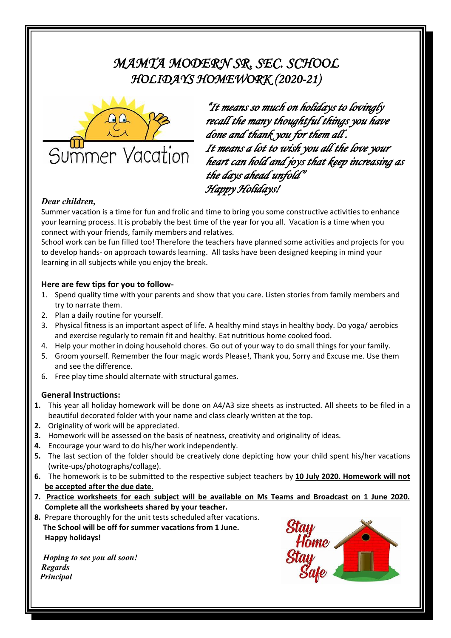## *MAMTA MODERN SR. SEC. SCHOOL HOLIDAYS HOMEWORK (2020-21)*



*"It means so much on holidays to lovingly recall the many thoughtful things you have done and thank you for them all . It means a lot to wish you all the love your heart can hold and joys that keep increasing as the days ahead unfold" Happy Holidays!* 

#### *Dear children,*

Summer vacation is a time for fun and frolic and time to bring you some constructive activities to enhance your learning process. It is probably the best time of the year for you all. Vacation is a time when you connect with your friends, family members and relatives.

School work can be fun filled too! Therefore the teachers have planned some activities and projects for you to develop hands- on approach towards learning. All tasks have been designed keeping in mind your learning in all subjects while you enjoy the break.

#### **Here are few tips for you to follow-**

- 1. Spend quality time with your parents and show that you care. Listen stories from family members and try to narrate them.
- 2. Plan a daily routine for yourself.
- 3. Physical fitness is an important aspect of life. A healthy mind stays in healthy body. Do yoga/ aerobics and exercise regularly to remain fit and healthy. Eat nutritious home cooked food.
- 4. Help your mother in doing household chores. Go out of your way to do small things for your family.
- 5. Groom yourself. Remember the four magic words Please!, Thank you, Sorry and Excuse me. Use them and see the difference.
- 6. Free play time should alternate with structural games.

#### **General Instructions:**

- **1.** This year all holiday homework will be done on A4/A3 size sheets as instructed. All sheets to be filed in a beautiful decorated folder with your name and class clearly written at the top.
- **2.** Originality of work will be appreciated.
- **3.** Homework will be assessed on the basis of neatness, creativity and originality of ideas.
- **4.** Encourage your ward to do his/her work independently.
- **5.** The last section of the folder should be creatively done depicting how your child spent his/her vacations (write-ups/photographs/collage).
- **6.** The homework is to be submitted to the respective subject teachers by **10 July 2020. Homework will not be accepted after the due date.**
- **7. Practice worksheets for each subject will be available on Ms Teams and Broadcast on 1 June 2020. Complete all the worksheets shared by your teacher.**
- **8.** Prepare thoroughly for the unit tests scheduled after vacations. **The School will be off for summer vacations from 1 June. Happy holidays!**

*Hoping to see you all soon! Regards Principal*

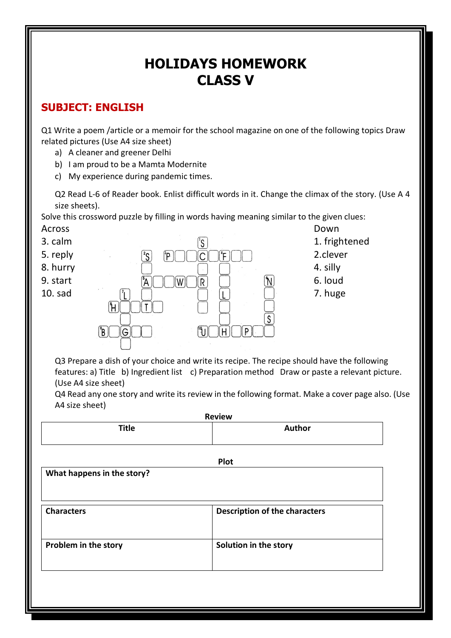# **HOLIDAYS HOMEWORK CLASS V**

## **SUBJECT: ENGLISH**

Q1 Write a poem /article or a memoir for the school magazine on one of the following topics Draw related pictures (Use A4 size sheet)

- a) A cleaner and greener Delhi
- b) I am proud to be a Mamta Modernite
- c) My experience during pandemic times.

Q2 Read L-6 of Reader book. Enlist difficult words in it. Change the climax of the story. (Use A 4 size sheets).

Solve this crossword puzzle by filling in words having meaning similar to the given clues: Across **Down** 



Q3 Prepare a dish of your choice and write its recipe. The recipe should have the following features: a) Title b) Ingredient list c) Preparation method Draw or paste a relevant picture. (Use A4 size sheet)

Q4 Read any one story and write its review in the following format. Make a cover page also. (Use A4 size sheet)

| <b>Review</b>              |                                      |  |
|----------------------------|--------------------------------------|--|
| <b>Title</b>               | Author                               |  |
|                            | Plot                                 |  |
| What happens in the story? |                                      |  |
|                            |                                      |  |
| <b>Characters</b>          | <b>Description of the characters</b> |  |
|                            |                                      |  |
| Problem in the story       | Solution in the story                |  |
|                            |                                      |  |
|                            |                                      |  |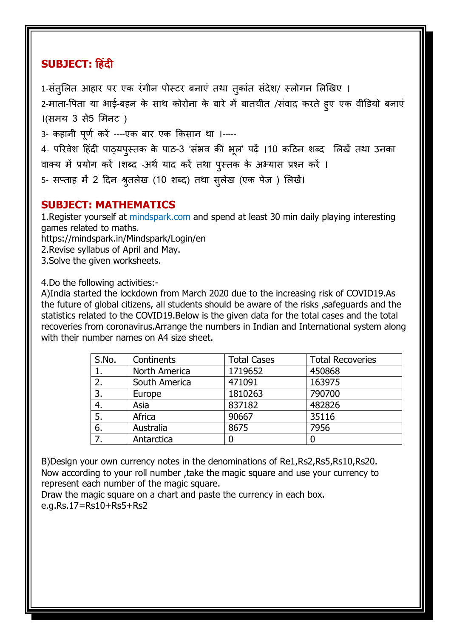## **SUBJECT: हिंदी**

1-संतुलित आहार पर एक रंगीन पोस्टर बनाए तथा तुकात संदेश/ स्लोगन लिखिए । 2-माता-पिता या भाई-बहन के साथ कोरोना के बारे में बातचीत /सवाद करते हुए एक वीडियो बनाएं ।(समय 3 से5 %मनट ) 3- कहानी पूर्ण करे ----एक बार एक किसान था ।-----

4- परिवेश हिंदी पाठ्यपुस्तक के पाठ-3 'सभव की भूल' पढ़े ।10 कठिन शब्द लिखे तथा उनका वाक्य में प्रयोग करे ।शब्द -अर्थ याद करे तथा पुस्तक के अभ्यास प्रश्न करे ।

5- सप्ताह मे 2 दिन श्रुतलेख (10 शब्द) तथा सुलेख (एक पेज ) लिखे।

### **SUBJECT: MATHEMATICS**

1.Register yourself at mindspark.com and spend at least 30 min daily playing interesting games related to maths.

https://mindspark.in/Mindspark/Login/en

2.Revise syllabus of April and May.

3.Solve the given worksheets.

4.Do the following activities:-

A)India started the lockdown from March 2020 due to the increasing risk of COVID19.As the future of global citizens, all students should be aware of the risks, safeguards and the statistics related to the COVID19.Below is the given data for the total cases and the total recoveries from coronavirus.Arrange the numbers in Indian and International system along with their number names on A4 size sheet.

| S.No. | Continents    | <b>Total Cases</b> | <b>Total Recoveries</b> |
|-------|---------------|--------------------|-------------------------|
|       | North America | 1719652            | 450868                  |
| 2.    | South America | 471091             | 163975                  |
| 3.    | Europe        | 1810263            | 790700                  |
| 4.    | Asia          | 837182             | 482826                  |
| 5.    | Africa        | 90667              | 35116                   |
| 6.    | Australia     | 8675               | 7956                    |
| 7.    | Antarctica    |                    |                         |

B)Design your own currency notes in the denominations of Re1,Rs2,Rs5,Rs10,Rs20. Now according to your roll number ,take the magic square and use your currency to represent each number of the magic square.

Draw the magic square on a chart and paste the currency in each box. e.g.Rs.17=Rs10+Rs5+Rs2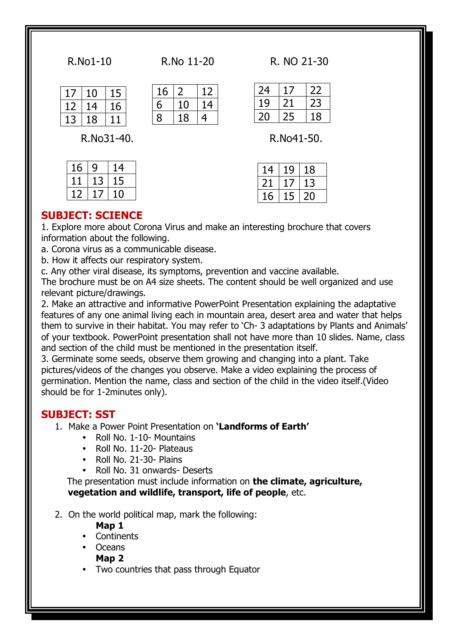|  |  | R.No1-10 |
|--|--|----------|
|--|--|----------|

| No |  |  |  | 11-20 |
|----|--|--|--|-------|
|----|--|--|--|-------|

R.No1-10 R.No 11-20 R. NO 21-30

|          | l O | L5 |
|----------|-----|----|
| <u>ג</u> | 4   | 16 |
|          | । 8 |    |

| 16 |    | ノ |
|----|----|---|
| 6  | 10 | 4 |
| 8  | 18 | 4 |

| 24 |    |    |
|----|----|----|
| 19 | 21 | ノく |
| 20 | 25 | 18 |

R.No31-40. R.No41-50.

| 14 | 19                       | 18 |
|----|--------------------------|----|
| 21 | $\overline{\phantom{a}}$ | 13 |
| 16 | 5                        | ノロ |

### **SUBJECT: SCIENCE**

 $16 | 9 | 14$ 11 13 15 12 17 10

1. Explore more about Corona Virus and make an interesting brochure that covers information about the following.

a. Corona virus as a communicable disease.

b. How it affects our respiratory system.

c. Any other viral disease, its symptoms, prevention and vaccine available.

The brochure must be on A4 size sheets. The content should be well organized and use relevant picture/drawings.

2. Make an attractive and informative PowerPoint Presentation explaining the adaptative features of any one animal living each in mountain area, desert area and water that helps them to survive in their habitat. You may refer to 'Ch- 3 adaptations by Plants and Animals' of your textbook. PowerPoint presentation shall not have more than 10 slides. Name, class and section of the child must be mentioned in the presentation itself.

3. Germinate some seeds, observe them growing and changing into a plant. Take pictures/videos of the changes you observe. Make a video explaining the process of germination. Mention the name, class and section of the child in the video itself.(Video should be for 1-2minutes only).

#### **SUBJECT: SST**

- 1. Make a Power Point Presentation on **'Landforms of Earth'**
	- Roll No. 1-10- Mountains
	- Roll No. 11-20- Plateaus
	- Roll No. 21-30- Plains
	- Roll No. 31 onwards- Deserts

 The presentation must include information on **the climate, agriculture, vegetation and wildlife, transport, life of people**, etc.

2. On the world political map, mark the following:

#### **Map 1**

- **Continents**
- Oceans

**Map 2**

Two countries that pass through Equator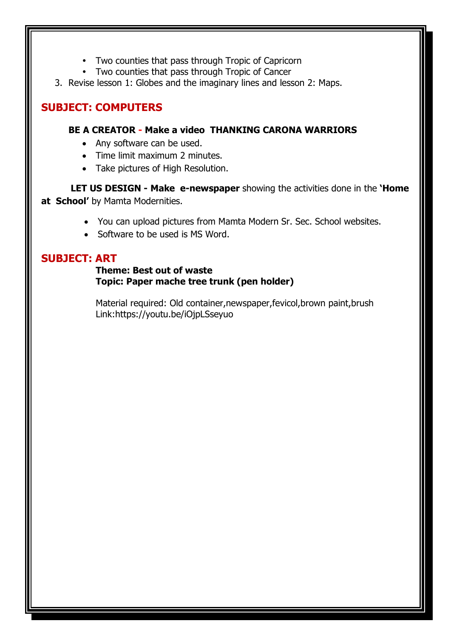- Two counties that pass through Tropic of Capricorn
- Two counties that pass through Tropic of Cancer
- 3. Revise lesson 1: Globes and the imaginary lines and lesson 2: Maps.

## **SUBJECT: COMPUTERS**

#### **BE A CREATOR - Make a video THANKING CARONA WARRIORS**

- Any software can be used.
- Time limit maximum 2 minutes.
- Take pictures of High Resolution.

 **LET US DESIGN - Make e-newspaper** showing the activities done in the **'Home at School'** by Mamta Modernities.

- You can upload pictures from Mamta Modern Sr. Sec. School websites.
- Software to be used is MS Word.

### **SUBJECT: ART**

#### **Theme: Best out of waste Topic: Paper mache tree trunk (pen holder)**

Material required: Old container,newspaper,fevicol,brown paint,brush Link:https://youtu.be/iOjpLSseyuo